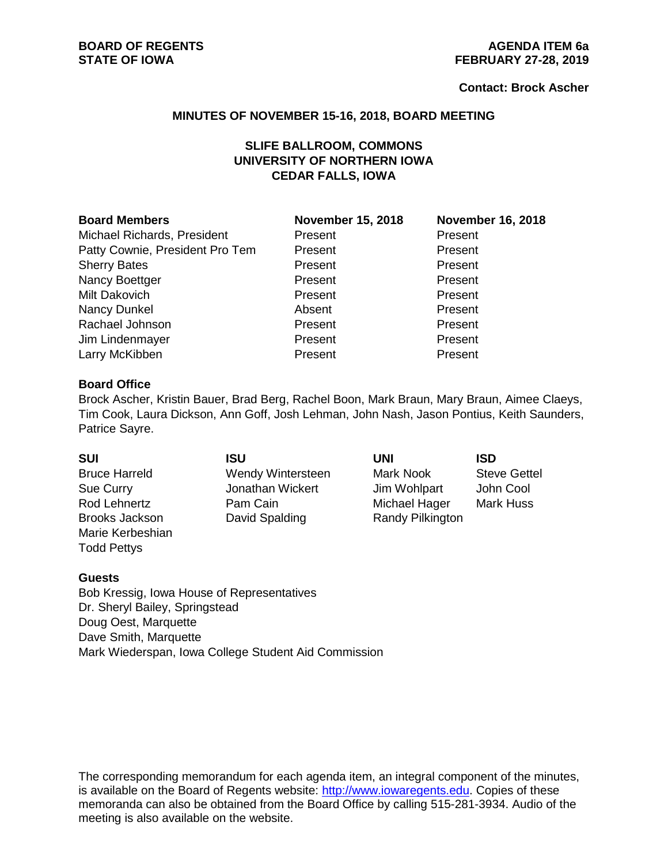#### **Contact: Brock Ascher**

#### **MINUTES OF NOVEMBER 15-16, 2018, BOARD MEETING**

# **SLIFE BALLROOM, COMMONS UNIVERSITY OF NORTHERN IOWA CEDAR FALLS, IOWA**

#### **Board Members November 15, 2018 November 16, 2018**

Michael Richards, President **Present Present Present Present** Patty Cownie, President Pro Tem Present Present Present Sherry Bates **Present** Present Present Present Nancy Boettger **Present** Present Present Present Milt Dakovich Present Present Nancy Dunkel **Absent** Absent Present Rachael Johnson **Present** Present Present Jim Lindenmayer **Present** Present Present Larry McKibben **Present** Present Present Present

#### **Board Office**

Brock Ascher, Kristin Bauer, Brad Berg, Rachel Boon, Mark Braun, Mary Braun, Aimee Claeys, Tim Cook, Laura Dickson, Ann Goff, Josh Lehman, John Nash, Jason Pontius, Keith Saunders, Patrice Sayre.

| <b>SUI</b>            | ISU               | <b>UNI</b>       | <b>ISD</b>          |
|-----------------------|-------------------|------------------|---------------------|
| <b>Bruce Harreld</b>  | Wendy Wintersteen | Mark Nook        | <b>Steve Gettel</b> |
| Sue Curry             | Jonathan Wickert  | Jim Wohlpart     | John Cool           |
| Rod Lehnertz          | Pam Cain          | Michael Hager    | Mark Huss           |
| <b>Brooks Jackson</b> | David Spalding    | Randy Pilkington |                     |
| Marie Kerbeshian      |                   |                  |                     |
| <b>Todd Pettys</b>    |                   |                  |                     |

### **Guests**

Bob Kressig, Iowa House of Representatives Dr. Sheryl Bailey, Springstead Doug Oest, Marquette Dave Smith, Marquette Mark Wiederspan, Iowa College Student Aid Commission

The corresponding memorandum for each agenda item, an integral component of the minutes, is available on the Board of Regents website: [http://www.iowaregents.edu.](http://www.iowaregents.edu/) Copies of these memoranda can also be obtained from the Board Office by calling 515-281-3934. Audio of the meeting is also available on the website.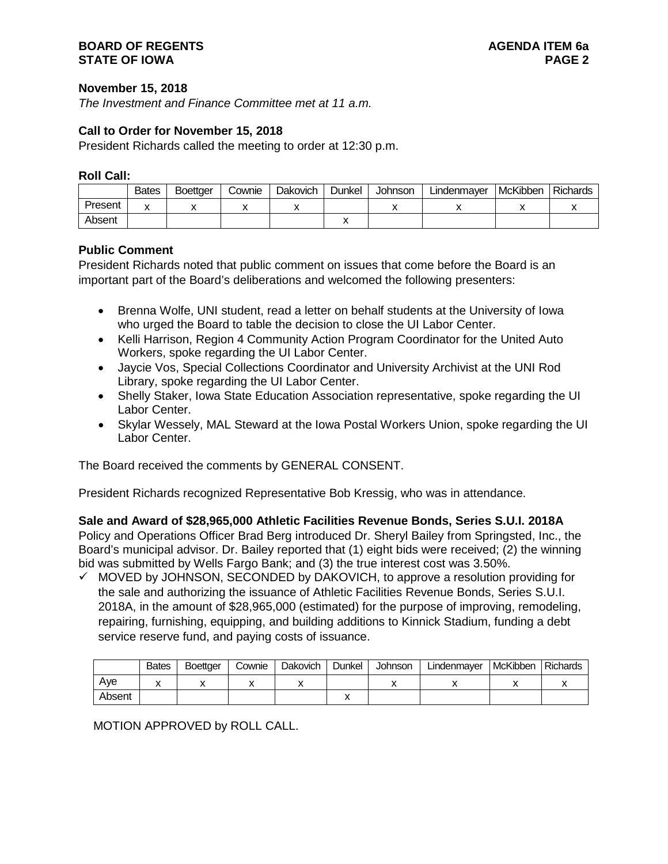## **BOARD OF REGENTS AGENDA ITEM 6a STATE OF IOWA**

## **November 15, 2018**

*The Investment and Finance Committee met at 11 a.m.*

## **Call to Order for November 15, 2018**

President Richards called the meeting to order at 12:30 p.m.

### **Roll Call:**

|         | <b>Bates</b> | Boettaer | Cownie | <b>Dakovich</b> | Dunkel | <b>Johnson</b> | Lindenmayer | McKibben | Richards |
|---------|--------------|----------|--------|-----------------|--------|----------------|-------------|----------|----------|
| Present |              |          |        |                 |        |                |             |          |          |
| Absent  |              |          |        |                 |        |                |             |          |          |

## **Public Comment**

President Richards noted that public comment on issues that come before the Board is an important part of the Board's deliberations and welcomed the following presenters:

- Brenna Wolfe, UNI student, read a letter on behalf students at the University of Iowa who urged the Board to table the decision to close the UI Labor Center.
- Kelli Harrison, Region 4 Community Action Program Coordinator for the United Auto Workers, spoke regarding the UI Labor Center.
- Jaycie Vos, Special Collections Coordinator and University Archivist at the UNI Rod Library, spoke regarding the UI Labor Center.
- Shelly Staker, Iowa State Education Association representative, spoke regarding the UI Labor Center.
- Skylar Wessely, MAL Steward at the Iowa Postal Workers Union, spoke regarding the UI Labor Center.

The Board received the comments by GENERAL CONSENT.

President Richards recognized Representative Bob Kressig, who was in attendance.

**Sale and Award of \$28,965,000 Athletic Facilities Revenue Bonds, Series S.U.I. 2018A** Policy and Operations Officer Brad Berg introduced Dr. Sheryl Bailey from Springsted, Inc., the Board's municipal advisor. Dr. Bailey reported that (1) eight bids were received; (2) the winning bid was submitted by Wells Fargo Bank; and (3) the true interest cost was 3.50%.

 $\checkmark$  MOVED by JOHNSON, SECONDED by DAKOVICH, to approve a resolution providing for the sale and authorizing the issuance of Athletic Facilities Revenue Bonds, Series S.U.I. 2018A, in the amount of \$28,965,000 (estimated) for the purpose of improving, remodeling, repairing, furnishing, equipping, and building additions to Kinnick Stadium, funding a debt service reserve fund, and paying costs of issuance.

|        | <b>Bates</b> | <b>Boettaer</b> | Cownie | <b>Dakovich</b> | Dunkel | Johnson | Lindenmayer | <b>McKibben</b> | <b>Richards</b> |
|--------|--------------|-----------------|--------|-----------------|--------|---------|-------------|-----------------|-----------------|
| Ave    |              |                 |        |                 |        |         |             |                 |                 |
| Absent |              |                 |        |                 |        |         |             |                 |                 |

MOTION APPROVED by ROLL CALL.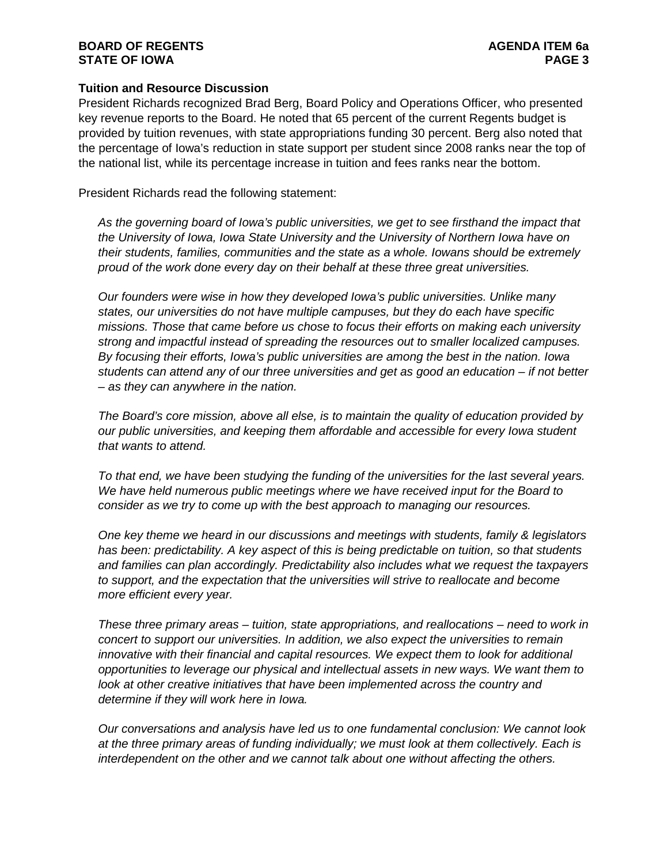## **BOARD OF REGENTS AGENDA ITEM 6a STATE OF IOWA**

## **Tuition and Resource Discussion**

President Richards recognized Brad Berg, Board Policy and Operations Officer, who presented key revenue reports to the Board. He noted that 65 percent of the current Regents budget is provided by tuition revenues, with state appropriations funding 30 percent. Berg also noted that the percentage of Iowa's reduction in state support per student since 2008 ranks near the top of the national list, while its percentage increase in tuition and fees ranks near the bottom.

President Richards read the following statement:

*As the governing board of Iowa's public universities, we get to see firsthand the impact that the University of Iowa, Iowa State University and the University of Northern Iowa have on their students, families, communities and the state as a whole. Iowans should be extremely proud of the work done every day on their behalf at these three great universities.* 

*Our founders were wise in how they developed Iowa's public universities. Unlike many states, our universities do not have multiple campuses, but they do each have specific missions. Those that came before us chose to focus their efforts on making each university strong and impactful instead of spreading the resources out to smaller localized campuses. By focusing their efforts, Iowa's public universities are among the best in the nation. Iowa students can attend any of our three universities and get as good an education – if not better – as they can anywhere in the nation.*

*The Board's core mission, above all else, is to maintain the quality of education provided by our public universities, and keeping them affordable and accessible for every Iowa student that wants to attend.* 

*To that end, we have been studying the funding of the universities for the last several years. We have held numerous public meetings where we have received input for the Board to consider as we try to come up with the best approach to managing our resources.*

*One key theme we heard in our discussions and meetings with students, family & legislators*  has been: predictability. A key aspect of this is being predictable on tuition, so that students *and families can plan accordingly. Predictability also includes what we request the taxpayers to support, and the expectation that the universities will strive to reallocate and become more efficient every year.*

*These three primary areas – tuition, state appropriations, and reallocations – need to work in concert to support our universities. In addition, we also expect the universities to remain innovative with their financial and capital resources. We expect them to look for additional opportunities to leverage our physical and intellectual assets in new ways. We want them to look at other creative initiatives that have been implemented across the country and determine if they will work here in Iowa.*

*Our conversations and analysis have led us to one fundamental conclusion: We cannot look at the three primary areas of funding individually; we must look at them collectively. Each is interdependent on the other and we cannot talk about one without affecting the others.*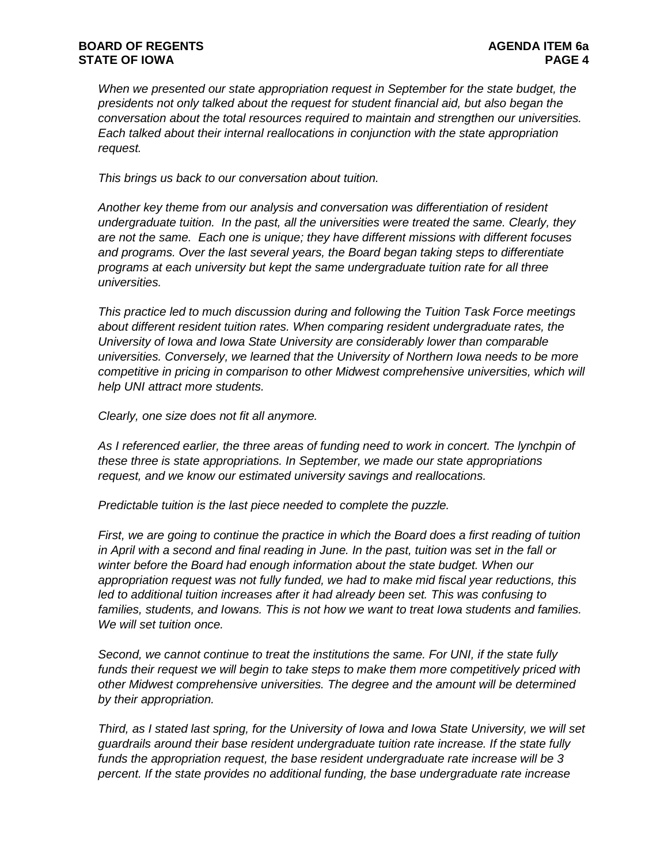*When we presented our state appropriation request in September for the state budget, the presidents not only talked about the request for student financial aid, but also began the conversation about the total resources required to maintain and strengthen our universities. Each talked about their internal reallocations in conjunction with the state appropriation request.*

*This brings us back to our conversation about tuition.* 

*Another key theme from our analysis and conversation was differentiation of resident undergraduate tuition. In the past, all the universities were treated the same. Clearly, they are not the same. Each one is unique; they have different missions with different focuses and programs. Over the last several years, the Board began taking steps to differentiate programs at each university but kept the same undergraduate tuition rate for all three universities.*

*This practice led to much discussion during and following the Tuition Task Force meetings about different resident tuition rates. When comparing resident undergraduate rates, the University of Iowa and Iowa State University are considerably lower than comparable universities. Conversely, we learned that the University of Northern Iowa needs to be more competitive in pricing in comparison to other Midwest comprehensive universities, which will help UNI attract more students.*

*Clearly, one size does not fit all anymore.*

As I referenced earlier, the three areas of funding need to work in concert. The lynchpin of *these three is state appropriations. In September, we made our state appropriations request, and we know our estimated university savings and reallocations.* 

*Predictable tuition is the last piece needed to complete the puzzle.*

*First, we are going to continue the practice in which the Board does a first reading of tuition in April with a second and final reading in June. In the past, tuition was set in the fall or winter before the Board had enough information about the state budget. When our appropriation request was not fully funded, we had to make mid fiscal year reductions, this led to additional tuition increases after it had already been set. This was confusing to families, students, and Iowans. This is not how we want to treat Iowa students and families. We will set tuition once.*

*Second, we cannot continue to treat the institutions the same. For UNI, if the state fully funds their request we will begin to take steps to make them more competitively priced with other Midwest comprehensive universities. The degree and the amount will be determined by their appropriation.*

*Third, as I stated last spring, for the University of Iowa and Iowa State University, we will set guardrails around their base resident undergraduate tuition rate increase. If the state fully funds the appropriation request, the base resident undergraduate rate increase will be 3 percent. If the state provides no additional funding, the base undergraduate rate increase*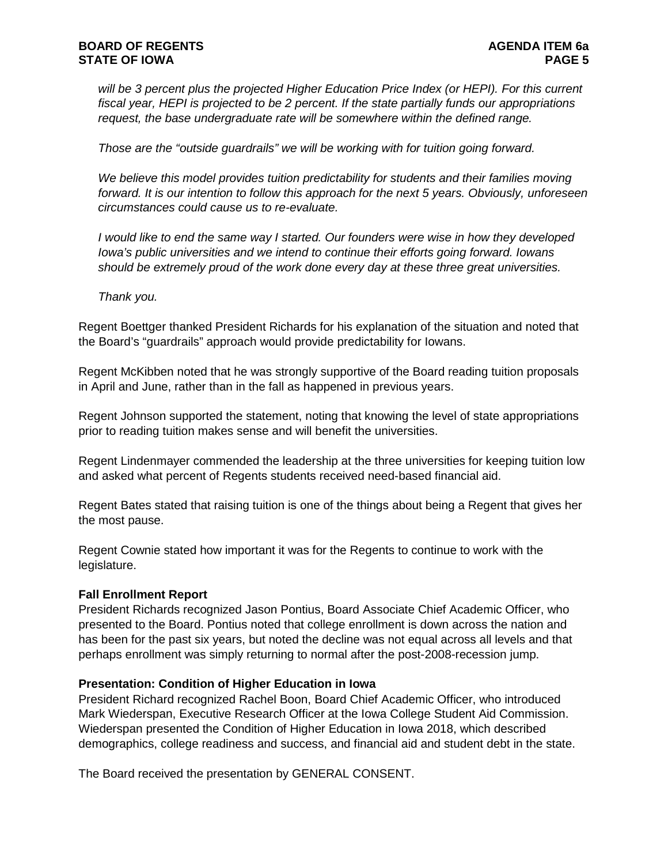*will be 3 percent plus the projected Higher Education Price Index (or HEPI). For this current fiscal year, HEPI is projected to be 2 percent. If the state partially funds our appropriations request, the base undergraduate rate will be somewhere within the defined range.*

*Those are the "outside guardrails" we will be working with for tuition going forward.* 

*We believe this model provides tuition predictability for students and their families moving forward. It is our intention to follow this approach for the next 5 years. Obviously, unforeseen circumstances could cause us to re-evaluate.*

*I would like to end the same way I started. Our founders were wise in how they developed Iowa's public universities and we intend to continue their efforts going forward. Iowans should be extremely proud of the work done every day at these three great universities.* 

*Thank you.*

Regent Boettger thanked President Richards for his explanation of the situation and noted that the Board's "guardrails" approach would provide predictability for Iowans.

Regent McKibben noted that he was strongly supportive of the Board reading tuition proposals in April and June, rather than in the fall as happened in previous years.

Regent Johnson supported the statement, noting that knowing the level of state appropriations prior to reading tuition makes sense and will benefit the universities.

Regent Lindenmayer commended the leadership at the three universities for keeping tuition low and asked what percent of Regents students received need-based financial aid.

Regent Bates stated that raising tuition is one of the things about being a Regent that gives her the most pause.

Regent Cownie stated how important it was for the Regents to continue to work with the legislature.

### **Fall Enrollment Report**

President Richards recognized Jason Pontius, Board Associate Chief Academic Officer, who presented to the Board. Pontius noted that college enrollment is down across the nation and has been for the past six years, but noted the decline was not equal across all levels and that perhaps enrollment was simply returning to normal after the post-2008-recession jump.

### **Presentation: Condition of Higher Education in Iowa**

President Richard recognized Rachel Boon, Board Chief Academic Officer, who introduced Mark Wiederspan, Executive Research Officer at the Iowa College Student Aid Commission. Wiederspan presented the Condition of Higher Education in Iowa 2018, which described demographics, college readiness and success, and financial aid and student debt in the state.

The Board received the presentation by GENERAL CONSENT.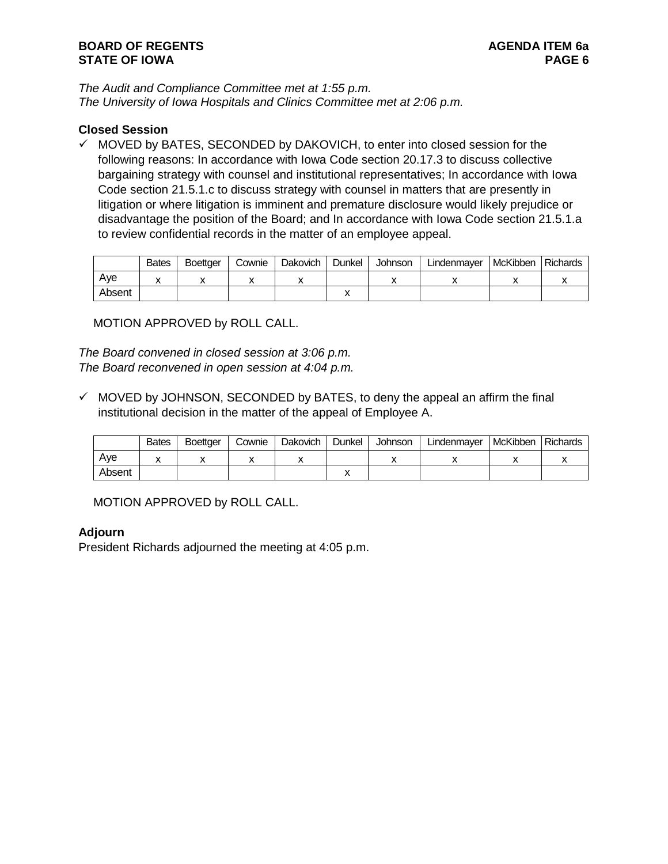*The Audit and Compliance Committee met at 1:55 p.m. The University of Iowa Hospitals and Clinics Committee met at 2:06 p.m.*

## **Closed Session**

 $\checkmark$  MOVED by BATES, SECONDED by DAKOVICH, to enter into closed session for the following reasons: In accordance with Iowa Code section 20.17.3 to discuss collective bargaining strategy with counsel and institutional representatives; In accordance with Iowa Code section 21.5.1.c to discuss strategy with counsel in matters that are presently in litigation or where litigation is imminent and premature disclosure would likely prejudice or disadvantage the position of the Board; and In accordance with Iowa Code section 21.5.1.a to review confidential records in the matter of an employee appeal.

|        | <b>Bates</b> | <b>Boettger</b> | Cownie | Dakovich | Dunkel | Johnson | Lindenmayer | <b>McKibben</b> | <b>Richards</b> |
|--------|--------------|-----------------|--------|----------|--------|---------|-------------|-----------------|-----------------|
| Ave    |              |                 |        |          |        |         |             |                 |                 |
| Absent |              |                 |        |          |        |         |             |                 |                 |

MOTION APPROVED by ROLL CALL.

*The Board convened in closed session at 3:06 p.m. The Board reconvened in open session at 4:04 p.m.*

 $\checkmark$  MOVED by JOHNSON, SECONDED by BATES, to deny the appeal an affirm the final institutional decision in the matter of the appeal of Employee A.

|        | <b>Bates</b> | <b>Boettger</b> | Cownie | Dakovich | Dunkel | Johnson | Lindenmayer | McKibben | Richards |
|--------|--------------|-----------------|--------|----------|--------|---------|-------------|----------|----------|
| Ave    | "            |                 |        |          |        |         |             |          |          |
| Absent |              |                 |        |          |        |         |             |          |          |

MOTION APPROVED by ROLL CALL.

# **Adjourn**

President Richards adjourned the meeting at 4:05 p.m.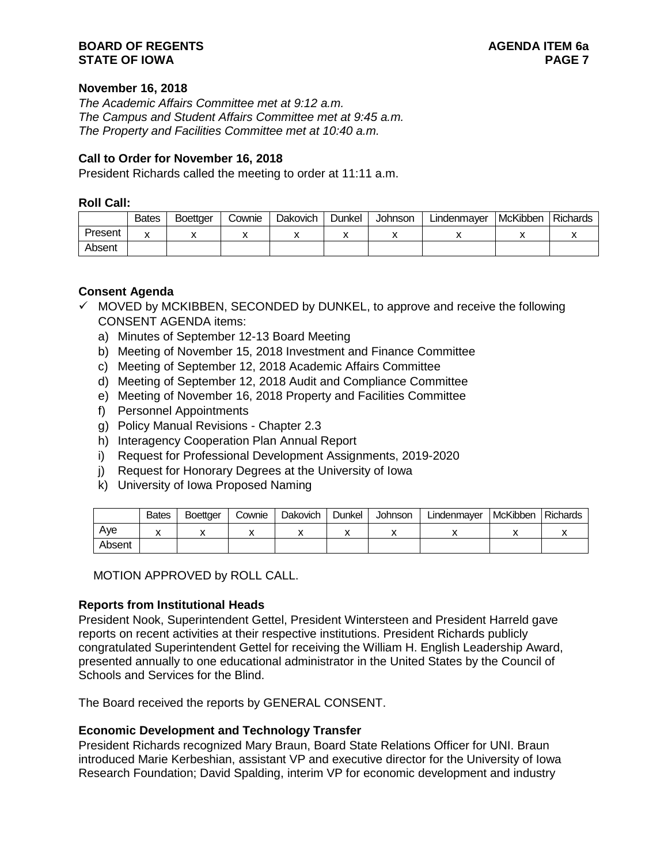## **BOARD OF REGENTS AGENDA ITEM 6a STATE OF IOWA**

### **November 16, 2018**

*The Academic Affairs Committee met at 9:12 a.m. The Campus and Student Affairs Committee met at 9:45 a.m. The Property and Facilities Committee met at 10:40 a.m.*

### **Call to Order for November 16, 2018**

President Richards called the meeting to order at 11:11 a.m.

#### **Roll Call:**

|         | <b>Bates</b> | <b>Boettaer</b> | Cownie | Dakovich | Dunkel | Johnson | Lindenmayer | McKibben | <b>Richards</b> |
|---------|--------------|-----------------|--------|----------|--------|---------|-------------|----------|-----------------|
| Present |              |                 |        |          |        |         |             |          |                 |
| Absent  |              |                 |        |          |        |         |             |          |                 |

### **Consent Agenda**

- $\checkmark$  MOVED by MCKIBBEN, SECONDED by DUNKEL, to approve and receive the following CONSENT AGENDA items:
	- a) Minutes of September 12-13 Board Meeting
	- b) Meeting of November 15, 2018 Investment and Finance Committee
	- c) Meeting of September 12, 2018 Academic Affairs Committee
	- d) Meeting of September 12, 2018 Audit and Compliance Committee
	- e) Meeting of November 16, 2018 Property and Facilities Committee
	- f) Personnel Appointments
	- g) Policy Manual Revisions Chapter 2.3
	- h) Interagency Cooperation Plan Annual Report
	- i) Request for Professional Development Assignments, 2019-2020
	- j) Request for Honorary Degrees at the University of Iowa
	- k) University of Iowa Proposed Naming

|        | <b>Bates</b> | <b>Boettger</b> | Cownie | Dakovich | Dunkel | Johnson | Lindenmayer | <b>I</b> McKibben | <b>Richards</b> |
|--------|--------------|-----------------|--------|----------|--------|---------|-------------|-------------------|-----------------|
| Ave    |              |                 |        |          |        |         | ,,          |                   |                 |
| Absent |              |                 |        |          |        |         |             |                   |                 |

MOTION APPROVED by ROLL CALL.

### **Reports from Institutional Heads**

President Nook, Superintendent Gettel, President Wintersteen and President Harreld gave reports on recent activities at their respective institutions. President Richards publicly congratulated Superintendent Gettel for receiving the William H. English Leadership Award, presented annually to one educational administrator in the United States by the Council of Schools and Services for the Blind.

The Board received the reports by GENERAL CONSENT.

### **Economic Development and Technology Transfer**

President Richards recognized Mary Braun, Board State Relations Officer for UNI. Braun introduced Marie Kerbeshian, assistant VP and executive director for the University of Iowa Research Foundation; David Spalding, interim VP for economic development and industry